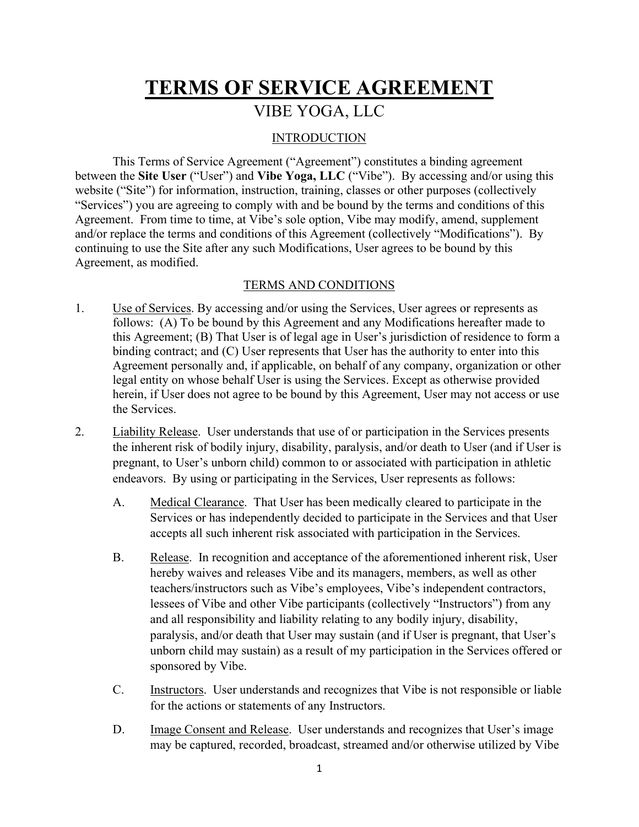## TERMS OF SERVICE AGREEMENT VIBE YOGA, LLC

## **INTRODUCTION**

 This Terms of Service Agreement ("Agreement") constitutes a binding agreement between the Site User ("User") and Vibe Yoga, LLC ("Vibe"). By accessing and/or using this website ("Site") for information, instruction, training, classes or other purposes (collectively "Services") you are agreeing to comply with and be bound by the terms and conditions of this Agreement. From time to time, at Vibe's sole option, Vibe may modify, amend, supplement and/or replace the terms and conditions of this Agreement (collectively "Modifications"). By continuing to use the Site after any such Modifications, User agrees to be bound by this Agreement, as modified.

## TERMS AND CONDITIONS

- 1. Use of Services. By accessing and/or using the Services, User agrees or represents as follows: (A) To be bound by this Agreement and any Modifications hereafter made to this Agreement; (B) That User is of legal age in User's jurisdiction of residence to form a binding contract; and (C) User represents that User has the authority to enter into this Agreement personally and, if applicable, on behalf of any company, organization or other legal entity on whose behalf User is using the Services. Except as otherwise provided herein, if User does not agree to be bound by this Agreement, User may not access or use the Services.
- 2. Liability Release. User understands that use of or participation in the Services presents the inherent risk of bodily injury, disability, paralysis, and/or death to User (and if User is pregnant, to User's unborn child) common to or associated with participation in athletic endeavors. By using or participating in the Services, User represents as follows:
	- A. Medical Clearance. That User has been medically cleared to participate in the Services or has independently decided to participate in the Services and that User accepts all such inherent risk associated with participation in the Services.
	- B. Release. In recognition and acceptance of the aforementioned inherent risk, User hereby waives and releases Vibe and its managers, members, as well as other teachers/instructors such as Vibe's employees, Vibe's independent contractors, lessees of Vibe and other Vibe participants (collectively "Instructors") from any and all responsibility and liability relating to any bodily injury, disability, paralysis, and/or death that User may sustain (and if User is pregnant, that User's unborn child may sustain) as a result of my participation in the Services offered or sponsored by Vibe.
	- C. Instructors. User understands and recognizes that Vibe is not responsible or liable for the actions or statements of any Instructors.
	- D. Image Consent and Release. User understands and recognizes that User's image may be captured, recorded, broadcast, streamed and/or otherwise utilized by Vibe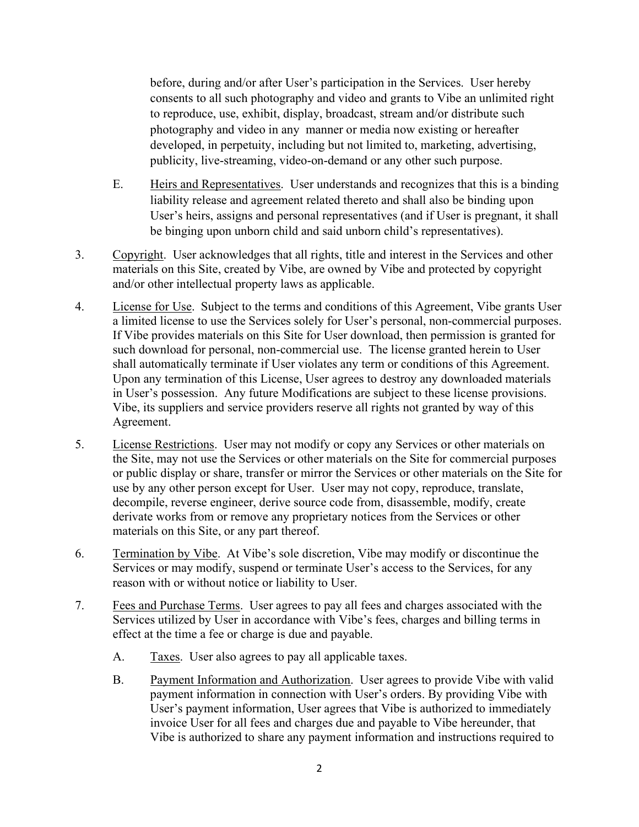before, during and/or after User's participation in the Services. User hereby consents to all such photography and video and grants to Vibe an unlimited right to reproduce, use, exhibit, display, broadcast, stream and/or distribute such photography and video in any manner or media now existing or hereafter developed, in perpetuity, including but not limited to, marketing, advertising, publicity, live-streaming, video-on-demand or any other such purpose.

- E. Heirs and Representatives. User understands and recognizes that this is a binding liability release and agreement related thereto and shall also be binding upon User's heirs, assigns and personal representatives (and if User is pregnant, it shall be binging upon unborn child and said unborn child's representatives).
- 3. Copyright. User acknowledges that all rights, title and interest in the Services and other materials on this Site, created by Vibe, are owned by Vibe and protected by copyright and/or other intellectual property laws as applicable.
- 4. License for Use. Subject to the terms and conditions of this Agreement, Vibe grants User a limited license to use the Services solely for User's personal, non-commercial purposes. If Vibe provides materials on this Site for User download, then permission is granted for such download for personal, non-commercial use. The license granted herein to User shall automatically terminate if User violates any term or conditions of this Agreement. Upon any termination of this License, User agrees to destroy any downloaded materials in User's possession. Any future Modifications are subject to these license provisions. Vibe, its suppliers and service providers reserve all rights not granted by way of this Agreement.
- 5. License Restrictions. User may not modify or copy any Services or other materials on the Site, may not use the Services or other materials on the Site for commercial purposes or public display or share, transfer or mirror the Services or other materials on the Site for use by any other person except for User. User may not copy, reproduce, translate, decompile, reverse engineer, derive source code from, disassemble, modify, create derivate works from or remove any proprietary notices from the Services or other materials on this Site, or any part thereof.
- 6. Termination by Vibe. At Vibe's sole discretion, Vibe may modify or discontinue the Services or may modify, suspend or terminate User's access to the Services, for any reason with or without notice or liability to User.
- 7. Fees and Purchase Terms. User agrees to pay all fees and charges associated with the Services utilized by User in accordance with Vibe's fees, charges and billing terms in effect at the time a fee or charge is due and payable.
	- A. Taxes. User also agrees to pay all applicable taxes.
	- B. Payment Information and Authorization. User agrees to provide Vibe with valid payment information in connection with User's orders. By providing Vibe with User's payment information, User agrees that Vibe is authorized to immediately invoice User for all fees and charges due and payable to Vibe hereunder, that Vibe is authorized to share any payment information and instructions required to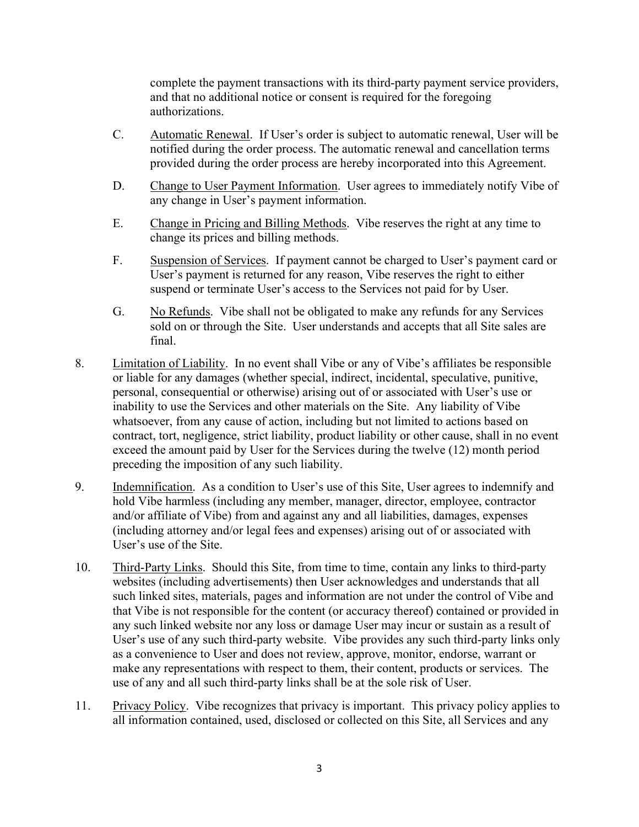complete the payment transactions with its third-party payment service providers, and that no additional notice or consent is required for the foregoing authorizations.

- C. Automatic Renewal. If User's order is subject to automatic renewal, User will be notified during the order process. The automatic renewal and cancellation terms provided during the order process are hereby incorporated into this Agreement.
- D. Change to User Payment Information. User agrees to immediately notify Vibe of any change in User's payment information.
- E. Change in Pricing and Billing Methods. Vibe reserves the right at any time to change its prices and billing methods.
- F. Suspension of Services. If payment cannot be charged to User's payment card or User's payment is returned for any reason, Vibe reserves the right to either suspend or terminate User's access to the Services not paid for by User.
- G. No Refunds. Vibe shall not be obligated to make any refunds for any Services sold on or through the Site. User understands and accepts that all Site sales are final.
- 8. Limitation of Liability. In no event shall Vibe or any of Vibe's affiliates be responsible or liable for any damages (whether special, indirect, incidental, speculative, punitive, personal, consequential or otherwise) arising out of or associated with User's use or inability to use the Services and other materials on the Site. Any liability of Vibe whatsoever, from any cause of action, including but not limited to actions based on contract, tort, negligence, strict liability, product liability or other cause, shall in no event exceed the amount paid by User for the Services during the twelve (12) month period preceding the imposition of any such liability.
- 9. Indemnification. As a condition to User's use of this Site, User agrees to indemnify and hold Vibe harmless (including any member, manager, director, employee, contractor and/or affiliate of Vibe) from and against any and all liabilities, damages, expenses (including attorney and/or legal fees and expenses) arising out of or associated with User's use of the Site.
- 10. Third-Party Links. Should this Site, from time to time, contain any links to third-party websites (including advertisements) then User acknowledges and understands that all such linked sites, materials, pages and information are not under the control of Vibe and that Vibe is not responsible for the content (or accuracy thereof) contained or provided in any such linked website nor any loss or damage User may incur or sustain as a result of User's use of any such third-party website. Vibe provides any such third-party links only as a convenience to User and does not review, approve, monitor, endorse, warrant or make any representations with respect to them, their content, products or services. The use of any and all such third-party links shall be at the sole risk of User.
- 11. Privacy Policy. Vibe recognizes that privacy is important. This privacy policy applies to all information contained, used, disclosed or collected on this Site, all Services and any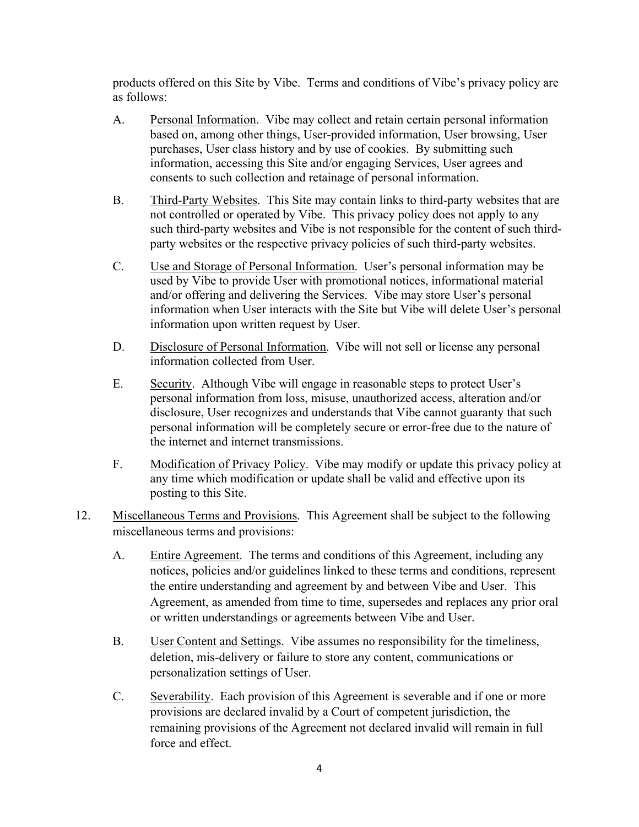products offered on this Site by Vibe. Terms and conditions of Vibe's privacy policy are as follows:

- A. Personal Information. Vibe may collect and retain certain personal information based on, among other things, User-provided information, User browsing, User purchases, User class history and by use of cookies. By submitting such information, accessing this Site and/or engaging Services, User agrees and consents to such collection and retainage of personal information.
- B. Third-Party Websites. This Site may contain links to third-party websites that are not controlled or operated by Vibe. This privacy policy does not apply to any such third-party websites and Vibe is not responsible for the content of such thirdparty websites or the respective privacy policies of such third-party websites.
- C. Use and Storage of Personal Information. User's personal information may be used by Vibe to provide User with promotional notices, informational material and/or offering and delivering the Services. Vibe may store User's personal information when User interacts with the Site but Vibe will delete User's personal information upon written request by User.
- D. Disclosure of Personal Information. Vibe will not sell or license any personal information collected from User.
- E. Security. Although Vibe will engage in reasonable steps to protect User's personal information from loss, misuse, unauthorized access, alteration and/or disclosure, User recognizes and understands that Vibe cannot guaranty that such personal information will be completely secure or error-free due to the nature of the internet and internet transmissions.
- F. Modification of Privacy Policy. Vibe may modify or update this privacy policy at any time which modification or update shall be valid and effective upon its posting to this Site.
- 12. Miscellaneous Terms and Provisions. This Agreement shall be subject to the following miscellaneous terms and provisions:
	- A. Entire Agreement. The terms and conditions of this Agreement, including any notices, policies and/or guidelines linked to these terms and conditions, represent the entire understanding and agreement by and between Vibe and User. This Agreement, as amended from time to time, supersedes and replaces any prior oral or written understandings or agreements between Vibe and User.
	- B. User Content and Settings. Vibe assumes no responsibility for the timeliness, deletion, mis-delivery or failure to store any content, communications or personalization settings of User.
	- C. Severability. Each provision of this Agreement is severable and if one or more provisions are declared invalid by a Court of competent jurisdiction, the remaining provisions of the Agreement not declared invalid will remain in full force and effect.